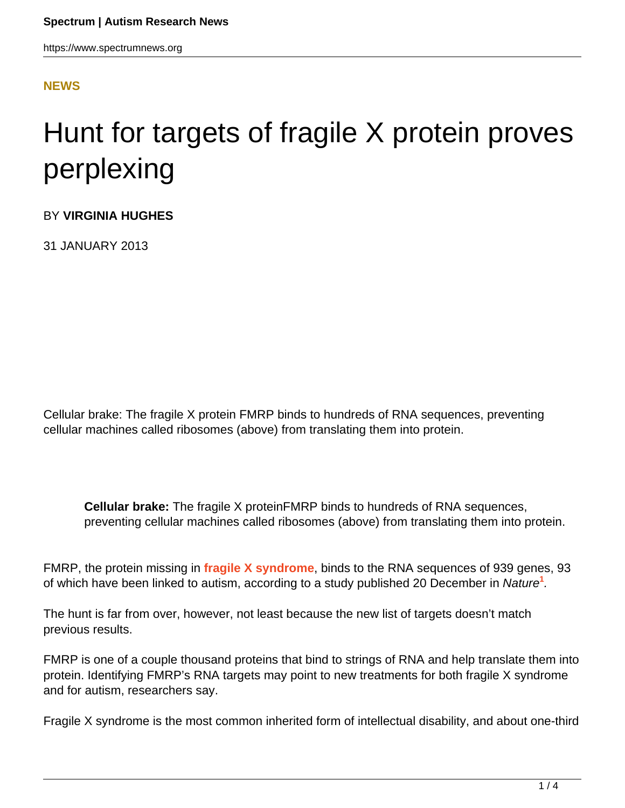## **[NEWS](HTTPS://WWW.SPECTRUMNEWS.ORG/NEWS/)**

## Hunt for targets of fragile X protein proves perplexing

BY **VIRGINIA HUGHES**

31 JANUARY 2013

Cellular brake: The fragile X protein FMRP binds to hundreds of RNA sequences, preventing cellular machines called ribosomes (above) from translating them into protein.

**Cellular brake:** The fragile X proteinFMRP binds to hundreds of RNA sequences, preventing cellular machines called ribosomes (above) from translating them into protein.

FMRP, the protein missing in **[fragile X syndrome](http://www.spectrumnews.org/wiki/fragile-x)**, binds to the RNA sequences of 939 genes, 93 of which have been linked to autism, according to a study published 20 December in Nature**[1](https://www.spectrumnews.org/news/2013/hunt-for-targets-of-fragile-x-protein-proves-perplexing#refs)** .

The hunt is far from over, however, not least because the new list of targets doesn't match previous results.

FMRP is one of a couple thousand proteins that bind to strings of RNA and help translate them into protein. Identifying FMRP's RNA targets may point to new treatments for both fragile X syndrome and for autism, researchers say.

Fragile X syndrome is the most common inherited form of intellectual disability, and about one-third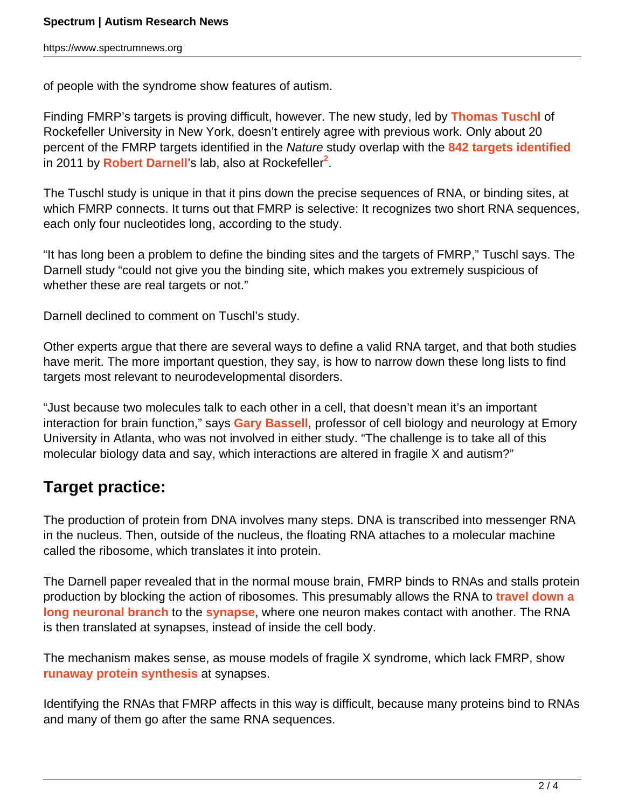of people with the syndrome show features of autism.

Finding FMRP's targets is proving difficult, however. The new study, led by **[Thomas Tuschl](/author/?author=https%3A%2F%2Fid.simonsfoundation.org%2Fthomastuschl)** of Rockefeller University in New York, doesn't entirely agree with previous work. Only about 20 percent of the FMRP targets identified in the Nature study overlap with the **[842 targets identified](https://www.spectrumnews.org/news/2011/fragile-x-protein-found-to-regulate-key-autism-candidates)** in 2011 by **[Robert Darnell](/author/?author=https%3A%2F%2Fid.simonsfoundation.org%2Fdarnelr)**'s lab, also at Rockefeller**[2](https://www.spectrumnews.org/news/2013/hunt-for-targets-of-fragile-x-protein-proves-perplexing#refs)** .

The Tuschl study is unique in that it pins down the precise sequences of RNA, or binding sites, at which FMRP connects. It turns out that FMRP is selective: It recognizes two short RNA sequences, each only four nucleotides long, according to the study.

"It has long been a problem to define the binding sites and the targets of FMRP," Tuschl says. The Darnell study "could not give you the binding site, which makes you extremely suspicious of whether these are real targets or not."

Darnell declined to comment on Tuschl's study.

Other experts argue that there are several ways to define a valid RNA target, and that both studies have merit. The more important question, they say, is how to narrow down these long lists to find targets most relevant to neurodevelopmental disorders.

"Just because two molecules talk to each other in a cell, that doesn't mean it's an important interaction for brain function," says **[Gary Bassell](/author/?author=https%3A%2F%2Fid.simonsfoundation.org%2Fgarybassell)**, professor of cell biology and neurology at Emory University in Atlanta, who was not involved in either study. "The challenge is to take all of this molecular biology data and say, which interactions are altered in fragile X and autism?"

## **Target practice:**

The production of protein from DNA involves many steps. DNA is transcribed into messenger RNA in the nucleus. Then, outside of the nucleus, the floating RNA attaches to a molecular machine called the ribosome, which translates it into protein.

The Darnell paper revealed that in the normal mouse brain, FMRP binds to RNAs and stalls protein production by blocking the action of ribosomes. This presumably allows the RNA to **[travel down a](https://www.spectrumnews.org/news/2010/researchers-identify-biological-roles-for-fragile-x-protein) [long neuronal branch](https://www.spectrumnews.org/news/2010/researchers-identify-biological-roles-for-fragile-x-protein)** to the **[synapse](http://www.spectrumnews.org/wiki/synapse)**, where one neuron makes contact with another. The RNA is then translated at synapses, instead of inside the cell body.

The mechanism makes sense, as mouse models of fragile X syndrome, which lack FMRP, show **[runaway protein synthesis](https://www.spectrumnews.org/news/2011/tuberous-sclerosis-fragile-x-may-be-molecular-opposites)** at synapses.

Identifying the RNAs that FMRP affects in this way is difficult, because many proteins bind to RNAs and many of them go after the same RNA sequences.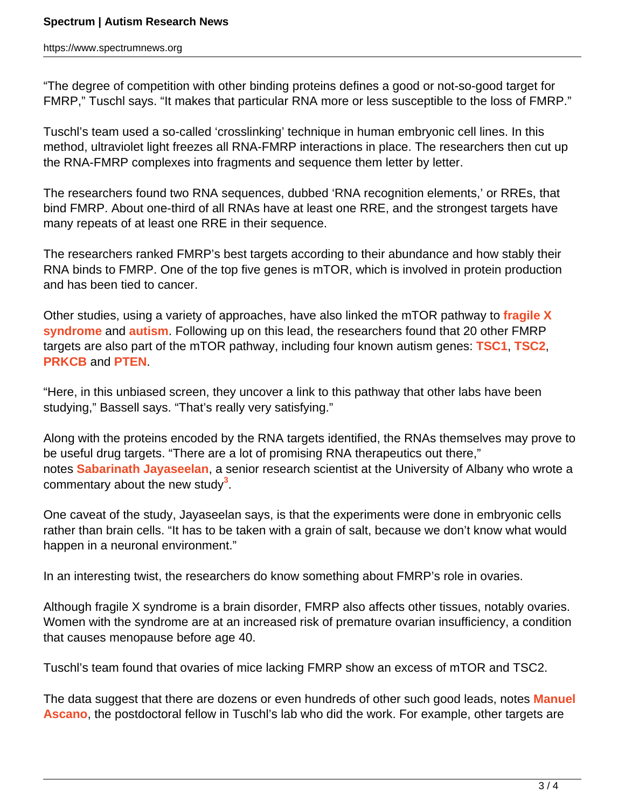"The degree of competition with other binding proteins defines a good or not-so-good target for FMRP," Tuschl says. "It makes that particular RNA more or less susceptible to the loss of FMRP."

Tuschl's team used a so-called 'crosslinking' technique in human embryonic cell lines. In this method, ultraviolet light freezes all RNA-FMRP interactions in place. The researchers then cut up the RNA-FMRP complexes into fragments and sequence them letter by letter.

The researchers found two RNA sequences, dubbed 'RNA recognition elements,' or RREs, that bind FMRP. About one-third of all RNAs have at least one RRE, and the strongest targets have many repeats of at least one RRE in their sequence.

The researchers ranked FMRP's best targets according to their abundance and how stably their RNA binds to FMRP. One of the top five genes is mTOR, which is involved in protein production and has been tied to cancer.

Other studies, using a variety of approaches, have also linked the mTOR pathway to **[fragile X](https://www.spectrumnews.org/news/2010/studies-tie-fragile-x-syndrome-to-famous-cancer-pathway) [syndrome](https://www.spectrumnews.org/news/2010/studies-tie-fragile-x-syndrome-to-famous-cancer-pathway)** and **[autism](https://www.spectrumnews.org/news/2008/autism-and-cancer-share-genetic-roots-researchers-find)**. Following up on this lead, the researchers found that 20 other FMRP targets are also part of the mTOR pathway, including four known autism genes: **[TSC1](https://gene.sfari.org/humangene/detail/tsc1)**, **[TSC2](https://gene.sfari.org/humangene/detail/tsc2)**, **[PRKCB](https://gene.sfari.org/GeneDetail/PRKCB#HG)** and **[PTEN](https://gene.sfari.org/humangene/detail/pten)**.

"Here, in this unbiased screen, they uncover a link to this pathway that other labs have been studying," Bassell says. "That's really very satisfying."

Along with the proteins encoded by the RNA targets identified, the RNAs themselves may prove to be useful drug targets. "There are a lot of promising RNA therapeutics out there," notes **[Sabarinath Jayaseelan](http://cnse.albany.edu/Home.aspx)**, a senior research scientist at the University of Albany who wrote a commentary about the new study**[3](https://www.spectrumnews.org/news/2013/hunt-for-targets-of-fragile-x-protein-proves-perplexing#refs)** .

One caveat of the study, Jayaseelan says, is that the experiments were done in embryonic cells rather than brain cells. "It has to be taken with a grain of salt, because we don't know what would happen in a neuronal environment."

In an interesting twist, the researchers do know something about FMRP's role in ovaries.

Although fragile X syndrome is a brain disorder, FMRP also affects other tissues, notably ovaries. Women with the syndrome are at an increased risk of premature ovarian insufficiency, a condition that causes menopause before age 40.

Tuschl's team found that ovaries of mice lacking FMRP show an excess of mTOR and TSC2.

The data suggest that there are dozens or even hundreds of other such good leads, notes **[Manuel](http://www.rockefeller.edu/labheads/tuschl/members.html) [Ascano](http://www.rockefeller.edu/labheads/tuschl/members.html)**, the postdoctoral fellow in Tuschl's lab who did the work. For example, other targets are